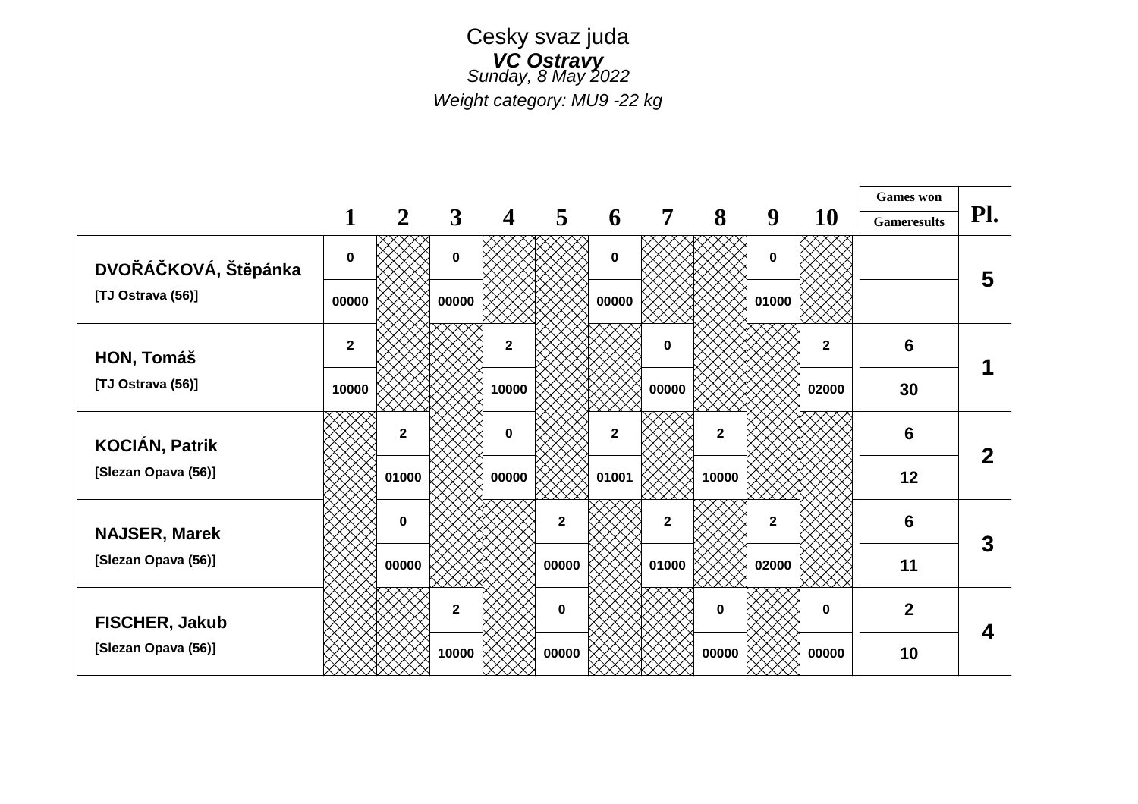#### Cesky svaz juda *VC Ostravy Sunday, 8 May 2022*

*Weight category: MU9 -22 kg*

|                       |              |                |              |                         |                |                |                |              |                |             | <b>Games</b> won   |             |
|-----------------------|--------------|----------------|--------------|-------------------------|----------------|----------------|----------------|--------------|----------------|-------------|--------------------|-------------|
|                       | 1            | $\overline{2}$ | $\mathbf{3}$ | $\overline{\mathbf{4}}$ | $\overline{5}$ | 6              | $\overline{7}$ | 8            | 9              | <b>10</b>   | <b>Gameresults</b> | Pl.         |
| DVOŘÁČKOVÁ, Štěpánka  | $\mathbf 0$  |                | 0            |                         |                | $\mathbf 0$    |                |              | 0              |             |                    | 5           |
| [TJ Ostrava (56)]     | 00000        |                | 00000        |                         |                | 00000          |                |              | 01000          |             |                    |             |
| HON, Tomáš            | $\mathbf{2}$ |                |              | $\mathbf{2}$            |                |                | $\mathbf 0$    |              |                | $\mathbf 2$ | 6                  |             |
| [TJ Ostrava (56)]     | 10000        |                |              | 10000                   |                |                | 00000          |              |                | 02000       | 30                 |             |
| <b>KOCIÁN, Patrik</b> |              | $\mathbf{2}$   |              | $\mathbf 0$             |                | $\overline{2}$ |                | $\mathbf{2}$ |                |             | 6                  | $\mathbf 2$ |
| [Slezan Opava (56)]   |              | 01000          |              | 00000                   |                | 01001          |                | 10000        |                |             | 12                 |             |
| <b>NAJSER, Marek</b>  |              | $\bf{0}$       |              |                         | $\overline{2}$ |                | $\mathbf{2}$   |              | $\overline{2}$ |             | 6                  | 3           |
| [Slezan Opava (56)]   |              | 00000          |              |                         | 00000          |                | 01000          |              | 02000          |             | 11                 |             |
| <b>FISCHER, Jakub</b> |              |                | $\mathbf{2}$ |                         | $\mathbf 0$    |                |                | 0            |                | $\bf{0}$    | $\overline{2}$     | 4           |
| [Slezan Opava (56)]   |              |                | 10000        |                         | 00000          |                |                | 00000        |                | 00000       | 10                 |             |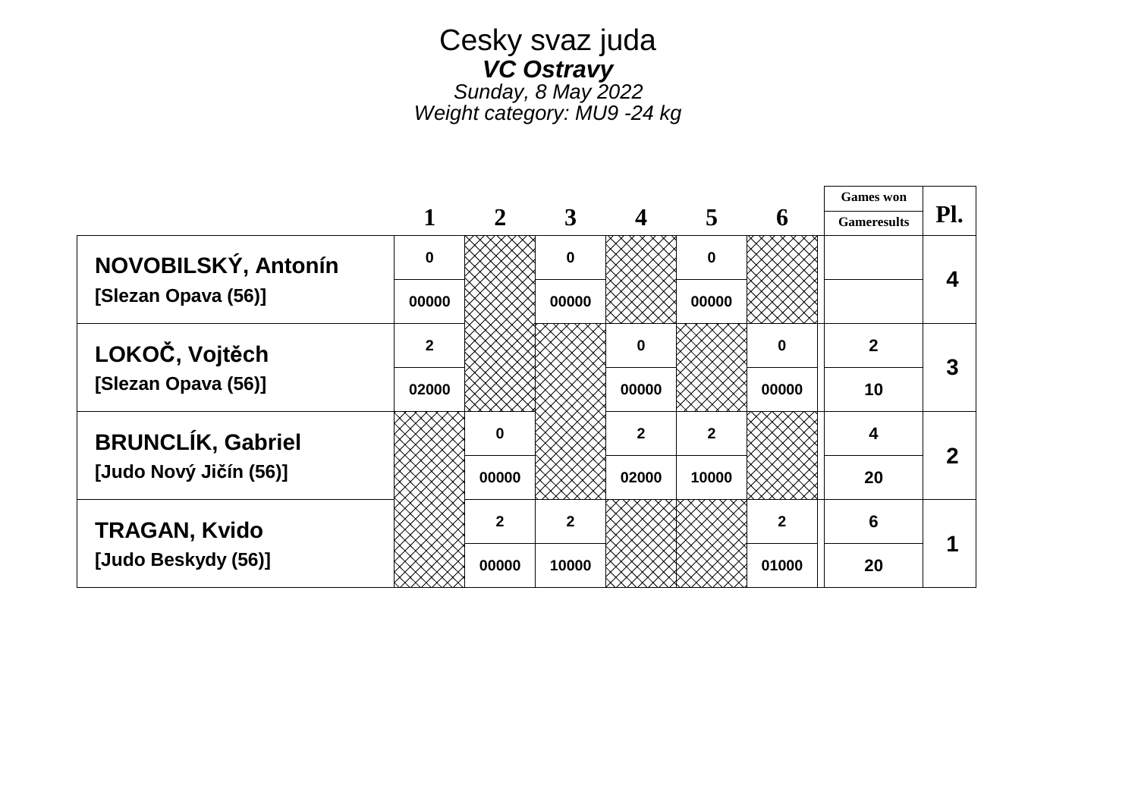## Cesky svaz juda *VC Ostravy Sunday, 8 May 2022*

*Weight category: MU9 -24 kg*

|                          |                |              |              |                         |                |              | <b>Games</b> won   |     |  |
|--------------------------|----------------|--------------|--------------|-------------------------|----------------|--------------|--------------------|-----|--|
|                          |                | $\mathbf{2}$ | 3            | $\overline{\mathbf{4}}$ | 5              | 6            | <b>Gameresults</b> | Pl. |  |
| NOVOBILSKÝ, Antonín      | $\mathbf{0}$   |              | $\mathbf 0$  |                         | $\bf{0}$       |              |                    |     |  |
| [Slezan Opava (56)]      | 00000          |              | 00000        |                         | 00000          |              |                    |     |  |
| LOKOČ, Vojtěch           | $\overline{2}$ |              |              | $\bf{0}$                |                | 0            | $\overline{2}$     | 3   |  |
| [Slezan Opava (56)]      | 02000          |              |              | 00000                   |                | 00000        | 10                 |     |  |
| <b>BRUNCLÍK, Gabriel</b> |                | n            |              | $\overline{2}$          | $\overline{2}$ |              | 4                  | 2   |  |
| [Judo Nový Jičín (56)]   |                | 00000        |              | 02000                   | 10000          |              | 20                 |     |  |
| <b>TRAGAN, Kvido</b>     |                | $\mathbf{2}$ | $\mathbf{2}$ |                         |                | $\mathbf{2}$ | 6                  |     |  |
| [Judo Beskydy (56)]      |                | 00000        | 10000        |                         |                | 01000        | 20                 |     |  |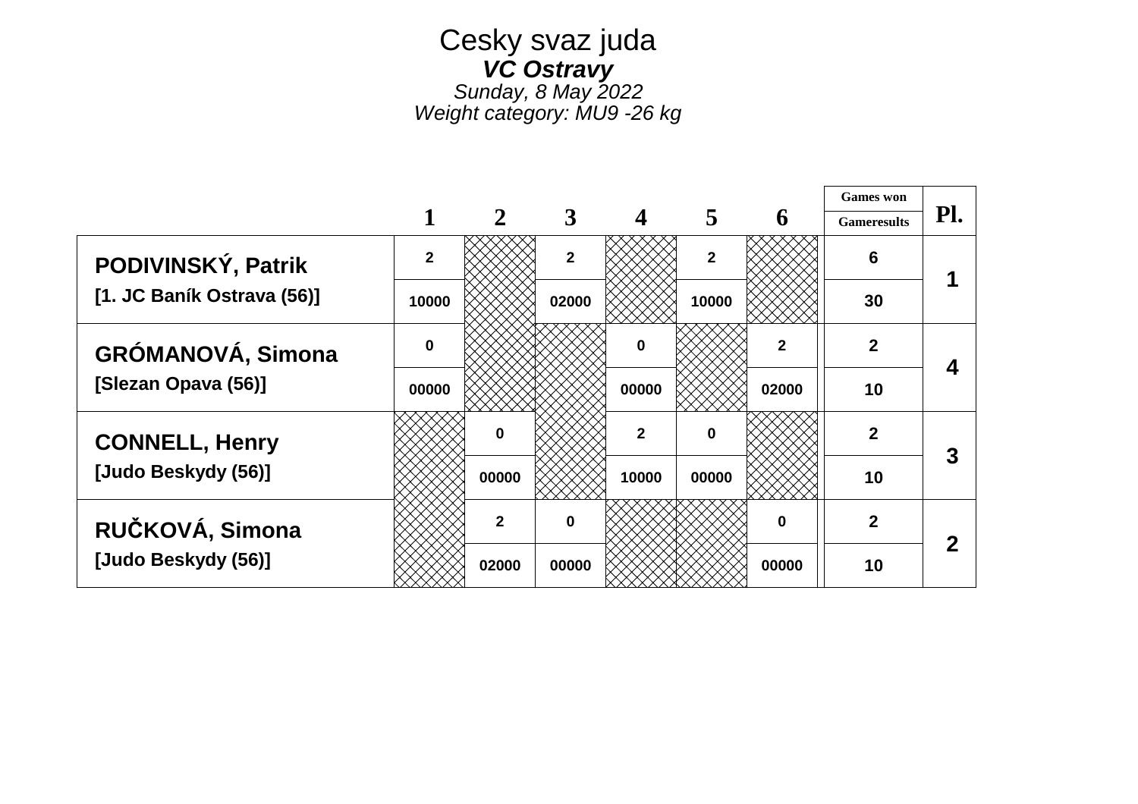# Cesky svaz juda *VC Ostravy Sunday, 8 May 2022*

*Weight category: MU9 -26 kg*

|                            |                |              |                |                |                |       | <b>Games</b> won   |     |
|----------------------------|----------------|--------------|----------------|----------------|----------------|-------|--------------------|-----|
|                            |                | $\mathbf{2}$ | 3              |                | 5              | 6     | <b>Gameresults</b> | Pl. |
| PODIVINSKÝ, Patrik         | $\overline{2}$ |              | $\overline{2}$ |                | $\overline{2}$ |       | 6                  |     |
| [1. JC Baník Ostrava (56)] | 10000          |              | 02000          |                | 10000          |       | 30                 |     |
| <b>GRÓMANOVÁ, Simona</b>   | 0              |              |                | $\bf{0}$       |                | 2     | $\overline{2}$     |     |
| [Slezan Opava (56)]        | 00000          |              |                | 00000          |                | 02000 | 10                 | 4   |
| <b>CONNELL, Henry</b>      |                | n            |                | $\overline{2}$ | $\bf{0}$       |       | $\overline{2}$     | 3   |
| [Judo Beskydy (56)]        |                | 00000        |                | 10000          | 00000          |       | 10                 |     |
| RUČKOVÁ, Simona            |                | $\mathbf{2}$ |                |                |                | 0     | $\overline{2}$     | 2   |
| [Judo Beskydy (56)]        |                | 02000        | 00000          |                |                | 00000 | 10                 |     |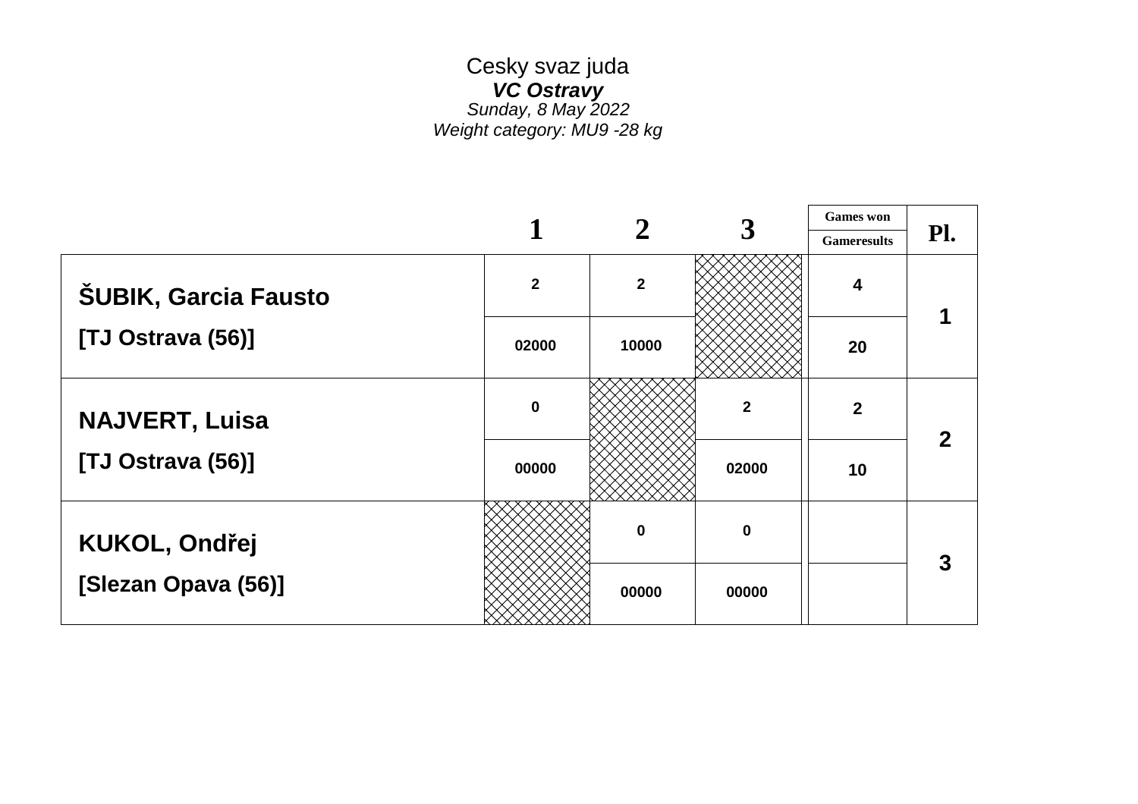#### Cesky svaz juda *VC Ostravy Sunday, 8 May 2022 Weight category: MU9 -28 kg*

|                             |              |                |             | <b>Games</b> won        |     |
|-----------------------------|--------------|----------------|-------------|-------------------------|-----|
|                             |              |                |             | <b>Gameresults</b>      | Pl. |
| <b>ŠUBIK, Garcia Fausto</b> | $\mathbf{2}$ | $\overline{2}$ |             | $\overline{\mathbf{4}}$ |     |
| [TJ Ostrava (56)]           | 02000        | 10000          |             | 20                      |     |
| <b>NAJVERT, Luisa</b>       | $\pmb{0}$    |                | $\mathbf 2$ | $\overline{2}$          |     |
| [TJ Ostrava (56)]           | 00000        |                | 02000       | 10                      |     |
| <b>KUKOL, Ondřej</b>        |              | 0              | $\mathbf 0$ |                         |     |
| [Slezan Opava (56)]         |              | 00000          | 00000       |                         |     |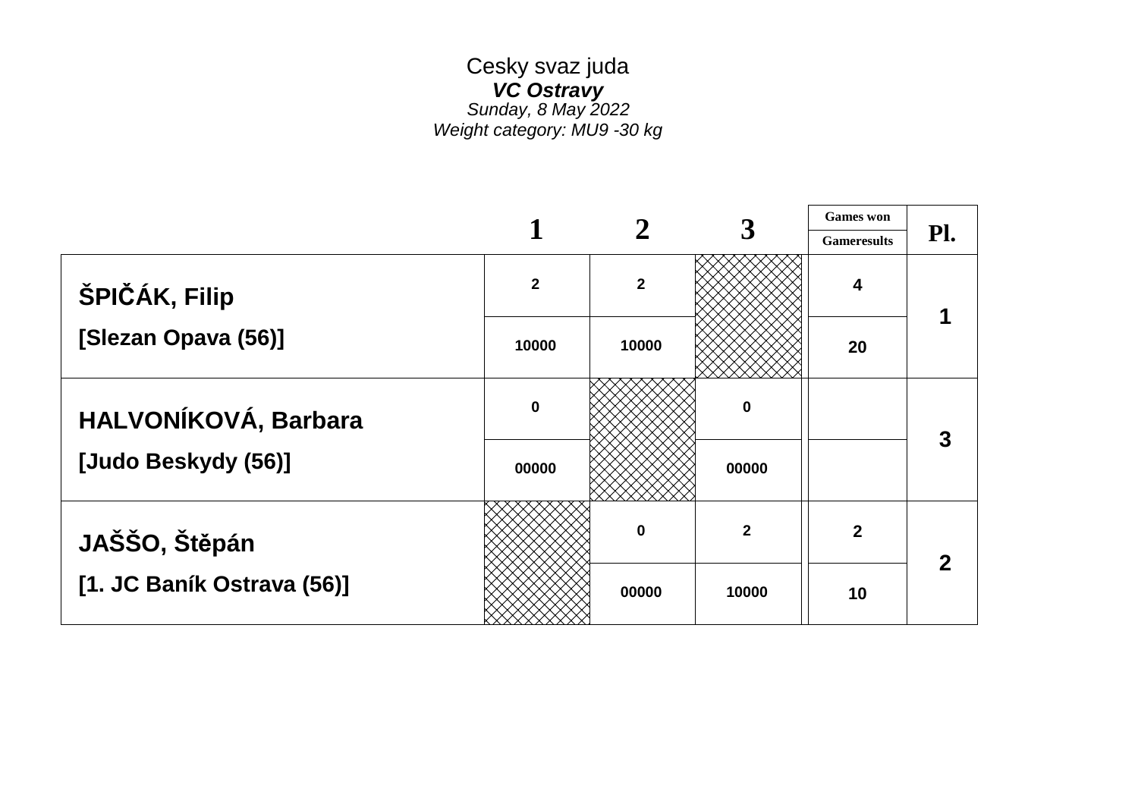#### Cesky svaz juda *VC Ostravy Sunday, 8 May 2022 Weight category: MU9 -30 kg*

┯

|                            |              |                |              | <b>Games</b> won        |     |
|----------------------------|--------------|----------------|--------------|-------------------------|-----|
|                            |              |                |              | <b>Gameresults</b>      | Pl. |
| ŠPIČÁK, Filip              | $\mathbf{2}$ | $\overline{2}$ |              | $\overline{\mathbf{4}}$ |     |
| [Slezan Opava (56)]        | 10000        | 10000          |              | 20                      |     |
| HALVONÍKOVÁ, Barbara       | $\mathbf 0$  |                | $\mathbf 0$  |                         | 3   |
| [Judo Beskydy (56)]        | 00000        |                | 00000        |                         |     |
| JAŠŠO, Štěpán              |              | $\bf{0}$       | $\mathbf{2}$ | $\overline{2}$          |     |
| [1. JC Baník Ostrava (56)] |              | 00000          | 10000        | 10                      |     |